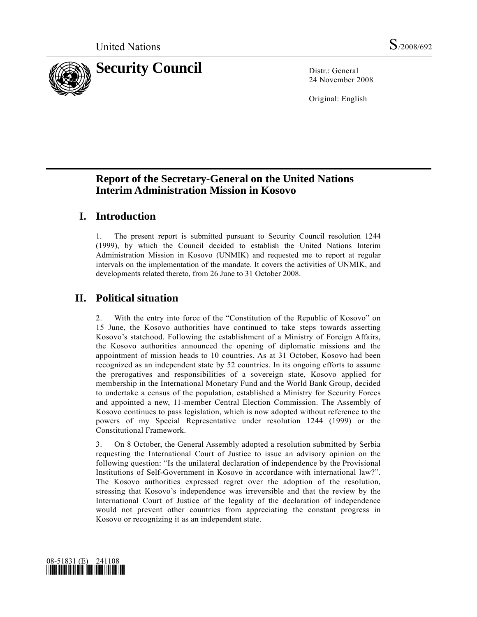

24 November 2008

Original: English

## **Report of the Secretary-General on the United Nations Interim Administration Mission in Kosovo**

## **I. Introduction**

1. The present report is submitted pursuant to Security Council resolution 1244 (1999), by which the Council decided to establish the United Nations Interim Administration Mission in Kosovo (UNMIK) and requested me to report at regular intervals on the implementation of the mandate. It covers the activities of UNMIK, and developments related thereto, from 26 June to 31 October 2008.

# **II. Political situation**

2. With the entry into force of the "Constitution of the Republic of Kosovo" on 15 June, the Kosovo authorities have continued to take steps towards asserting Kosovo's statehood. Following the establishment of a Ministry of Foreign Affairs, the Kosovo authorities announced the opening of diplomatic missions and the appointment of mission heads to 10 countries. As at 31 October, Kosovo had been recognized as an independent state by 52 countries. In its ongoing efforts to assume the prerogatives and responsibilities of a sovereign state, Kosovo applied for membership in the International Monetary Fund and the World Bank Group, decided to undertake a census of the population, established a Ministry for Security Forces and appointed a new, 11-member Central Election Commission. The Assembly of Kosovo continues to pass legislation, which is now adopted without reference to the powers of my Special Representative under resolution 1244 (1999) or the Constitutional Framework.

3. On 8 October, the General Assembly adopted a resolution submitted by Serbia requesting the International Court of Justice to issue an advisory opinion on the following question: "Is the unilateral declaration of independence by the Provisional Institutions of Self-Government in Kosovo in accordance with international law?". The Kosovo authorities expressed regret over the adoption of the resolution, stressing that Kosovo's independence was irreversible and that the review by the International Court of Justice of the legality of the declaration of independence would not prevent other countries from appreciating the constant progress in Kosovo or recognizing it as an independent state.

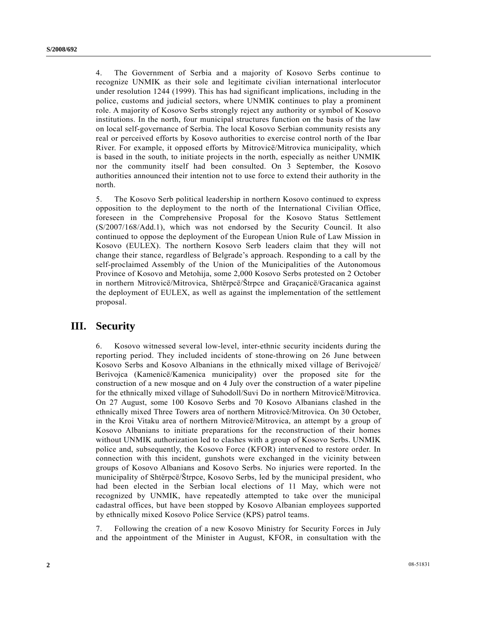4. The Government of Serbia and a majority of Kosovo Serbs continue to recognize UNMIK as their sole and legitimate civilian international interlocutor under resolution 1244 (1999). This has had significant implications, including in the police, customs and judicial sectors, where UNMIK continues to play a prominent role. A majority of Kosovo Serbs strongly reject any authority or symbol of Kosovo institutions. In the north, four municipal structures function on the basis of the law on local self-governance of Serbia. The local Kosovo Serbian community resists any real or perceived efforts by Kosovo authorities to exercise control north of the Ibar River. For example, it opposed efforts by Mitrovicë/Mitrovica municipality, which is based in the south, to initiate projects in the north, especially as neither UNMIK nor the community itself had been consulted. On 3 September, the Kosovo authorities announced their intention not to use force to extend their authority in the north.

5. The Kosovo Serb political leadership in northern Kosovo continued to express opposition to the deployment to the north of the International Civilian Office, foreseen in the Comprehensive Proposal for the Kosovo Status Settlement (S/2007/168/Add.1), which was not endorsed by the Security Council. It also continued to oppose the deployment of the European Union Rule of Law Mission in Kosovo (EULEX). The northern Kosovo Serb leaders claim that they will not change their stance, regardless of Belgrade's approach. Responding to a call by the self-proclaimed Assembly of the Union of the Municipalities of the Autonomous Province of Kosovo and Metohija, some 2,000 Kosovo Serbs protested on 2 October in northern Mitrovicë/Mitrovica, Shtërpcë/Štrpce and Graçanicë/Gracanica against the deployment of EULEX, as well as against the implementation of the settlement proposal.

### **III. Security**

6. Kosovo witnessed several low-level, inter-ethnic security incidents during the reporting period. They included incidents of stone-throwing on 26 June between Kosovo Serbs and Kosovo Albanians in the ethnically mixed village of Berivojcë/ Berivojca (Kamenicë/Kamenica municipality) over the proposed site for the construction of a new mosque and on 4 July over the construction of a water pipeline for the ethnically mixed village of Suhodoll/Suvi Do in northern Mitrovicë/Mitrovica. On 27 August, some 100 Kosovo Serbs and 70 Kosovo Albanians clashed in the ethnically mixed Three Towers area of northern Mitrovicë/Mitrovica. On 30 October, in the Kroi Vitaku area of northern Mitrovicë/Mitrovica, an attempt by a group of Kosovo Albanians to initiate preparations for the reconstruction of their homes without UNMIK authorization led to clashes with a group of Kosovo Serbs. UNMIK police and, subsequently, the Kosovo Force (KFOR) intervened to restore order. In connection with this incident, gunshots were exchanged in the vicinity between groups of Kosovo Albanians and Kosovo Serbs. No injuries were reported. In the municipality of Shtërpcë/Štrpce, Kosovo Serbs, led by the municipal president, who had been elected in the Serbian local elections of 11 May, which were not recognized by UNMIK, have repeatedly attempted to take over the municipal cadastral offices, but have been stopped by Kosovo Albanian employees supported by ethnically mixed Kosovo Police Service (KPS) patrol teams.

7. Following the creation of a new Kosovo Ministry for Security Forces in July and the appointment of the Minister in August, KFOR, in consultation with the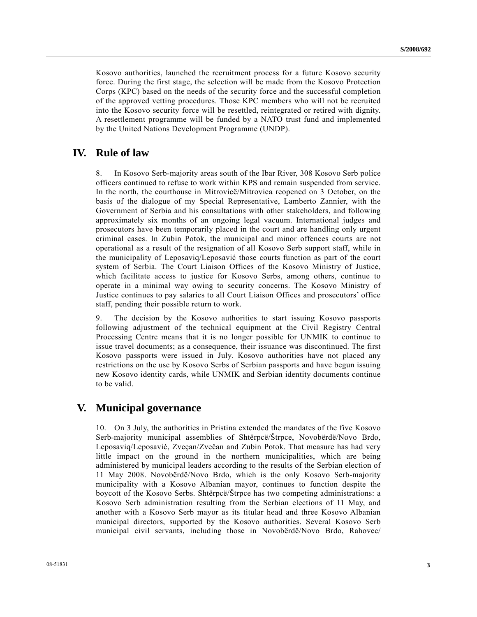Kosovo authorities, launched the recruitment process for a future Kosovo security force. During the first stage, the selection will be made from the Kosovo Protection Corps (KPC) based on the needs of the security force and the successful completion of the approved vetting procedures. Those KPC members who will not be recruited into the Kosovo security force will be resettled, reintegrated or retired with dignity. A resettlement programme will be funded by a NATO trust fund and implemented by the United Nations Development Programme (UNDP).

### **IV. Rule of law**

8. In Kosovo Serb-majority areas south of the Ibar River, 308 Kosovo Serb police officers continued to refuse to work within KPS and remain suspended from service. In the north, the courthouse in Mitrovicë/Mitrovica reopened on 3 October, on the basis of the dialogue of my Special Representative, Lamberto Zannier, with the Government of Serbia and his consultations with other stakeholders, and following approximately six months of an ongoing legal vacuum. International judges and prosecutors have been temporarily placed in the court and are handling only urgent criminal cases. In Zubin Potok, the municipal and minor offences courts are not operational as a result of the resignation of all Kosovo Serb support staff, while in the municipality of Leposaviq/Leposavić those courts function as part of the court system of Serbia. The Court Liaison Offices of the Kosovo Ministry of Justice, which facilitate access to justice for Kosovo Serbs, among others, continue to operate in a minimal way owing to security concerns. The Kosovo Ministry of Justice continues to pay salaries to all Court Liaison Offices and prosecutors' office staff, pending their possible return to work.

9. The decision by the Kosovo authorities to start issuing Kosovo passports following adjustment of the technical equipment at the Civil Registry Central Processing Centre means that it is no longer possible for UNMIK to continue to issue travel documents; as a consequence, their issuance was discontinued. The first Kosovo passports were issued in July. Kosovo authorities have not placed any restrictions on the use by Kosovo Serbs of Serbian passports and have begun issuing new Kosovo identity cards, while UNMIK and Serbian identity documents continue to be valid.

### **V. Municipal governance**

10. On 3 July, the authorities in Pristina extended the mandates of the five Kosovo Serb-majority municipal assemblies of Shtërpcë/Štrpce, Novobërdë/Novo Brdo, Leposaviq/Leposavić, Zveçan/Zvečan and Zubin Potok. That measure has had very little impact on the ground in the northern municipalities, which are being administered by municipal leaders according to the results of the Serbian election of 11 May 2008. Novobërdë/Novo Brdo, which is the only Kosovo Serb-majority municipality with a Kosovo Albanian mayor, continues to function despite the boycott of the Kosovo Serbs. Shtërpcë/Štrpce has two competing administrations: a Kosovo Serb administration resulting from the Serbian elections of 11 May, and another with a Kosovo Serb mayor as its titular head and three Kosovo Albanian municipal directors, supported by the Kosovo authorities. Several Kosovo Serb municipal civil servants, including those in Novobërdë/Novo Brdo, Rahovec/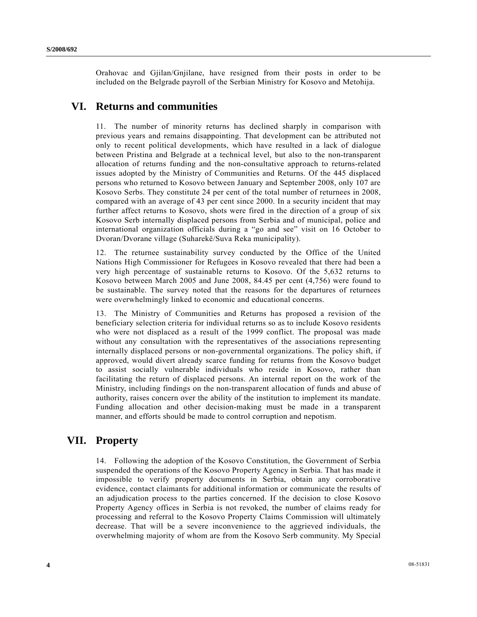Orahovac and Gjilan/Gnjilane, have resigned from their posts in order to be included on the Belgrade payroll of the Serbian Ministry for Kosovo and Metohija.

## **VI. Returns and communities**

11. The number of minority returns has declined sharply in comparison with previous years and remains disappointing. That development can be attributed not only to recent political developments, which have resulted in a lack of dialogue between Pristina and Belgrade at a technical level, but also to the non-transparent allocation of returns funding and the non-consultative approach to returns-related issues adopted by the Ministry of Communities and Returns. Of the 445 displaced persons who returned to Kosovo between January and September 2008, only 107 are Kosovo Serbs. They constitute 24 per cent of the total number of returnees in 2008, compared with an average of 43 per cent since 2000. In a security incident that may further affect returns to Kosovo, shots were fired in the direction of a group of six Kosovo Serb internally displaced persons from Serbia and of municipal, police and international organization officials during a "go and see" visit on 16 October to Dvoran/Dvorane village (Suharekë/Suva Reka municipality).

12. The returnee sustainability survey conducted by the Office of the United Nations High Commissioner for Refugees in Kosovo revealed that there had been a very high percentage of sustainable returns to Kosovo. Of the 5,632 returns to Kosovo between March 2005 and June 2008, 84.45 per cent (4,756) were found to be sustainable. The survey noted that the reasons for the departures of returnees were overwhelmingly linked to economic and educational concerns.

13. The Ministry of Communities and Returns has proposed a revision of the beneficiary selection criteria for individual returns so as to include Kosovo residents who were not displaced as a result of the 1999 conflict. The proposal was made without any consultation with the representatives of the associations representing internally displaced persons or non-governmental organizations. The policy shift, if approved, would divert already scarce funding for returns from the Kosovo budget to assist socially vulnerable individuals who reside in Kosovo, rather than facilitating the return of displaced persons. An internal report on the work of the Ministry, including findings on the non-transparent allocation of funds and abuse of authority, raises concern over the ability of the institution to implement its mandate. Funding allocation and other decision-making must be made in a transparent manner, and efforts should be made to control corruption and nepotism.

## **VII. Property**

14. Following the adoption of the Kosovo Constitution, the Government of Serbia suspended the operations of the Kosovo Property Agency in Serbia. That has made it impossible to verify property documents in Serbia, obtain any corroborative evidence, contact claimants for additional information or communicate the results of an adjudication process to the parties concerned. If the decision to close Kosovo Property Agency offices in Serbia is not revoked, the number of claims ready for processing and referral to the Kosovo Property Claims Commission will ultimately decrease. That will be a severe inconvenience to the aggrieved individuals, the overwhelming majority of whom are from the Kosovo Serb community. My Special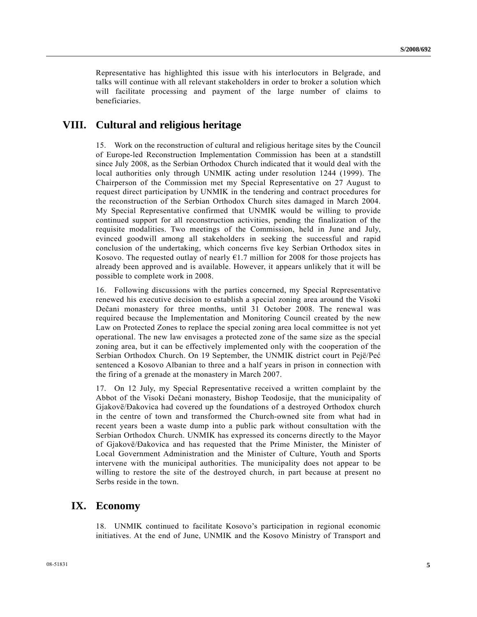Representative has highlighted this issue with his interlocutors in Belgrade, and talks will continue with all relevant stakeholders in order to broker a solution which will facilitate processing and payment of the large number of claims to beneficiaries.

## **VIII. Cultural and religious heritage**

15. Work on the reconstruction of cultural and religious heritage sites by the Council of Europe-led Reconstruction Implementation Commission has been at a standstill since July 2008, as the Serbian Orthodox Church indicated that it would deal with the local authorities only through UNMIK acting under resolution 1244 (1999). The Chairperson of the Commission met my Special Representative on 27 August to request direct participation by UNMIK in the tendering and contract procedures for the reconstruction of the Serbian Orthodox Church sites damaged in March 2004. My Special Representative confirmed that UNMIK would be willing to provide continued support for all reconstruction activities, pending the finalization of the requisite modalities. Two meetings of the Commission, held in June and July, evinced goodwill among all stakeholders in seeking the successful and rapid conclusion of the undertaking, which concerns five key Serbian Orthodox sites in Kosovo. The requested outlay of nearly  $E1.7$  million for 2008 for those projects has already been approved and is available. However, it appears unlikely that it will be possible to complete work in 2008.

16. Following discussions with the parties concerned, my Special Representative renewed his executive decision to establish a special zoning area around the Visoki Dečani monastery for three months, until 31 October 2008. The renewal was required because the Implementation and Monitoring Council created by the new Law on Protected Zones to replace the special zoning area local committee is not yet operational. The new law envisages a protected zone of the same size as the special zoning area, but it can be effectively implemented only with the cooperation of the Serbian Orthodox Church. On 19 September, the UNMIK district court in Pejë/Peć sentenced a Kosovo Albanian to three and a half years in prison in connection with the firing of a grenade at the monastery in March 2007.

17. On 12 July, my Special Representative received a written complaint by the Abbot of the Visoki Dečani monastery, Bishop Teodosije, that the municipality of Gjakovë/Đakovica had covered up the foundations of a destroyed Orthodox church in the centre of town and transformed the Church-owned site from what had in recent years been a waste dump into a public park without consultation with the Serbian Orthodox Church. UNMIK has expressed its concerns directly to the Mayor of Gjakovë/Đakovica and has requested that the Prime Minister, the Minister of Local Government Administration and the Minister of Culture, Youth and Sports intervene with the municipal authorities. The municipality does not appear to be willing to restore the site of the destroyed church, in part because at present no Serbs reside in the town.

### **IX. Economy**

18. UNMIK continued to facilitate Kosovo's participation in regional economic initiatives. At the end of June, UNMIK and the Kosovo Ministry of Transport and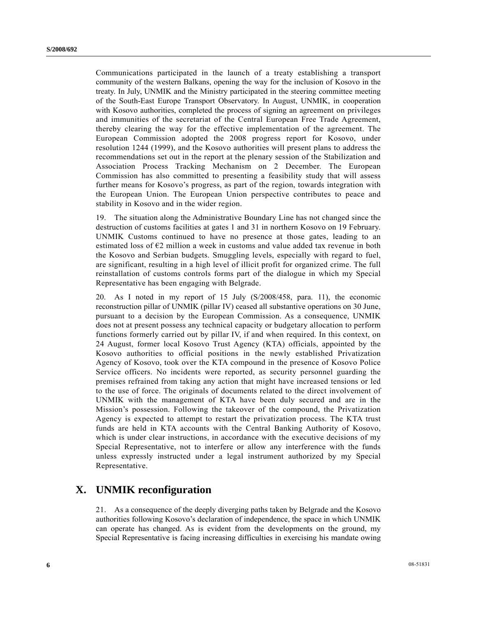Communications participated in the launch of a treaty establishing a transport community of the western Balkans, opening the way for the inclusion of Kosovo in the treaty. In July, UNMIK and the Ministry participated in the steering committee meeting of the South-East Europe Transport Observatory. In August, UNMIK, in cooperation with Kosovo authorities, completed the process of signing an agreement on privileges and immunities of the secretariat of the Central European Free Trade Agreement, thereby clearing the way for the effective implementation of the agreement. The European Commission adopted the 2008 progress report for Kosovo, under resolution 1244 (1999), and the Kosovo authorities will present plans to address the recommendations set out in the report at the plenary session of the Stabilization and Association Process Tracking Mechanism on 2 December. The European Commission has also committed to presenting a feasibility study that will assess further means for Kosovo's progress, as part of the region, towards integration with the European Union. The European Union perspective contributes to peace and stability in Kosovo and in the wider region.

19. The situation along the Administrative Boundary Line has not changed since the destruction of customs facilities at gates 1 and 31 in northern Kosovo on 19 February. UNMIK Customs continued to have no presence at those gates, leading to an estimated loss of  $E2$  million a week in customs and value added tax revenue in both the Kosovo and Serbian budgets. Smuggling levels, especially with regard to fuel, are significant, resulting in a high level of illicit profit for organized crime. The full reinstallation of customs controls forms part of the dialogue in which my Special Representative has been engaging with Belgrade.

20. As I noted in my report of 15 July (S/2008/458, para. 11), the economic reconstruction pillar of UNMIK (pillar IV) ceased all substantive operations on 30 June, pursuant to a decision by the European Commission. As a consequence, UNMIK does not at present possess any technical capacity or budgetary allocation to perform functions formerly carried out by pillar IV, if and when required. In this context, on 24 August, former local Kosovo Trust Agency (KTA) officials, appointed by the Kosovo authorities to official positions in the newly established Privatization Agency of Kosovo, took over the KTA compound in the presence of Kosovo Police Service officers. No incidents were reported, as security personnel guarding the premises refrained from taking any action that might have increased tensions or led to the use of force. The originals of documents related to the direct involvement of UNMIK with the management of KTA have been duly secured and are in the Mission's possession. Following the takeover of the compound, the Privatization Agency is expected to attempt to restart the privatization process. The KTA trust funds are held in KTA accounts with the Central Banking Authority of Kosovo, which is under clear instructions, in accordance with the executive decisions of my Special Representative, not to interfere or allow any interference with the funds unless expressly instructed under a legal instrument authorized by my Special Representative.

### **X. UNMIK reconfiguration**

21. As a consequence of the deeply diverging paths taken by Belgrade and the Kosovo authorities following Kosovo's declaration of independence, the space in which UNMIK can operate has changed. As is evident from the developments on the ground, my Special Representative is facing increasing difficulties in exercising his mandate owing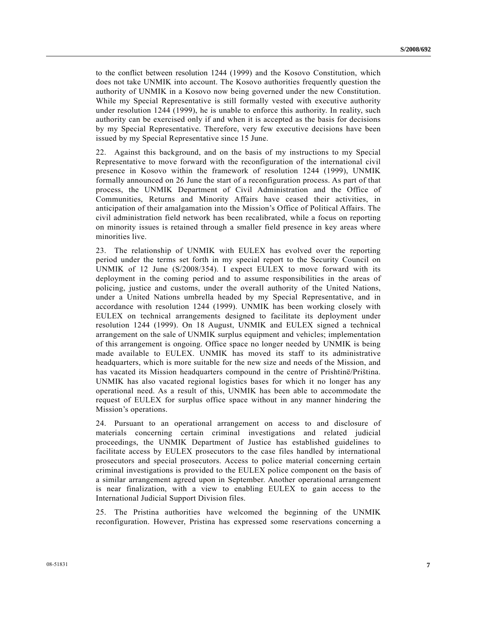to the conflict between resolution 1244 (1999) and the Kosovo Constitution, which does not take UNMIK into account. The Kosovo authorities frequently question the authority of UNMIK in a Kosovo now being governed under the new Constitution. While my Special Representative is still formally vested with executive authority under resolution 1244 (1999), he is unable to enforce this authority. In reality, such authority can be exercised only if and when it is accepted as the basis for decisions by my Special Representative. Therefore, very few executive decisions have been issued by my Special Representative since 15 June.

22. Against this background, and on the basis of my instructions to my Special Representative to move forward with the reconfiguration of the international civil presence in Kosovo within the framework of resolution 1244 (1999), UNMIK formally announced on 26 June the start of a reconfiguration process. As part of that process, the UNMIK Department of Civil Administration and the Office of Communities, Returns and Minority Affairs have ceased their activities, in anticipation of their amalgamation into the Mission's Office of Political Affairs. The civil administration field network has been recalibrated, while a focus on reporting on minority issues is retained through a smaller field presence in key areas where minorities live.

23. The relationship of UNMIK with EULEX has evolved over the reporting period under the terms set forth in my special report to the Security Council on UNMIK of 12 June (S/2008/354). I expect EULEX to move forward with its deployment in the coming period and to assume responsibilities in the areas of policing, justice and customs, under the overall authority of the United Nations, under a United Nations umbrella headed by my Special Representative, and in accordance with resolution 1244 (1999). UNMIK has been working closely with EULEX on technical arrangements designed to facilitate its deployment under resolution 1244 (1999). On 18 August, UNMIK and EULEX signed a technical arrangement on the sale of UNMIK surplus equipment and vehicles; implementation of this arrangement is ongoing. Office space no longer needed by UNMIK is being made available to EULEX. UNMIK has moved its staff to its administrative headquarters, which is more suitable for the new size and needs of the Mission, and has vacated its Mission headquarters compound in the centre of Prishtinë/Priština. UNMIK has also vacated regional logistics bases for which it no longer has any operational need. As a result of this, UNMIK has been able to accommodate the request of EULEX for surplus office space without in any manner hindering the Mission's operations.

24. Pursuant to an operational arrangement on access to and disclosure of materials concerning certain criminal investigations and related judicial proceedings, the UNMIK Department of Justice has established guidelines to facilitate access by EULEX prosecutors to the case files handled by international prosecutors and special prosecutors. Access to police material concerning certain criminal investigations is provided to the EULEX police component on the basis of a similar arrangement agreed upon in September. Another operational arrangement is near finalization, with a view to enabling EULEX to gain access to the International Judicial Support Division files.

25. The Pristina authorities have welcomed the beginning of the UNMIK reconfiguration. However, Pristina has expressed some reservations concerning a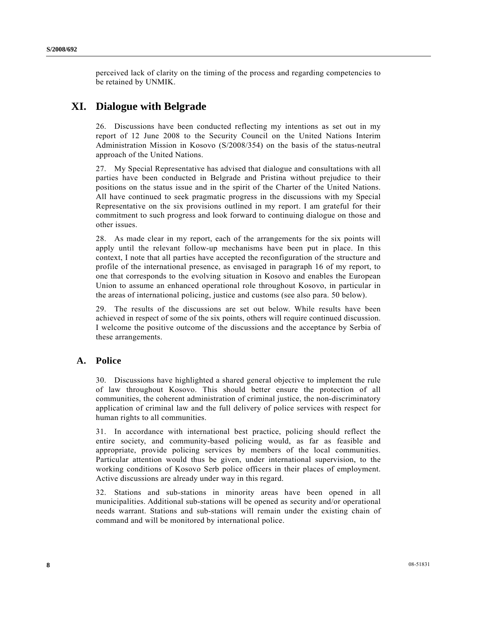perceived lack of clarity on the timing of the process and regarding competencies to be retained by UNMIK.

# **XI. Dialogue with Belgrade**

26. Discussions have been conducted reflecting my intentions as set out in my report of 12 June 2008 to the Security Council on the United Nations Interim Administration Mission in Kosovo (S/2008/354) on the basis of the status-neutral approach of the United Nations.

27. My Special Representative has advised that dialogue and consultations with all parties have been conducted in Belgrade and Pristina without prejudice to their positions on the status issue and in the spirit of the Charter of the United Nations. All have continued to seek pragmatic progress in the discussions with my Special Representative on the six provisions outlined in my report. I am grateful for their commitment to such progress and look forward to continuing dialogue on those and other issues.

28. As made clear in my report, each of the arrangements for the six points will apply until the relevant follow-up mechanisms have been put in place. In this context, I note that all parties have accepted the reconfiguration of the structure and profile of the international presence, as envisaged in paragraph 16 of my report, to one that corresponds to the evolving situation in Kosovo and enables the European Union to assume an enhanced operational role throughout Kosovo, in particular in the areas of international policing, justice and customs (see also para. 50 below).

29. The results of the discussions are set out below. While results have been achieved in respect of some of the six points, others will require continued discussion. I welcome the positive outcome of the discussions and the acceptance by Serbia of these arrangements.

### **A. Police**

30. Discussions have highlighted a shared general objective to implement the rule of law throughout Kosovo. This should better ensure the protection of all communities, the coherent administration of criminal justice, the non-discriminatory application of criminal law and the full delivery of police services with respect for human rights to all communities.

31. In accordance with international best practice, policing should reflect the entire society, and community-based policing would, as far as feasible and appropriate, provide policing services by members of the local communities. Particular attention would thus be given, under international supervision, to the working conditions of Kosovo Serb police officers in their places of employment. Active discussions are already under way in this regard.

32. Stations and sub-stations in minority areas have been opened in all municipalities. Additional sub-stations will be opened as security and/or operational needs warrant. Stations and sub-stations will remain under the existing chain of command and will be monitored by international police.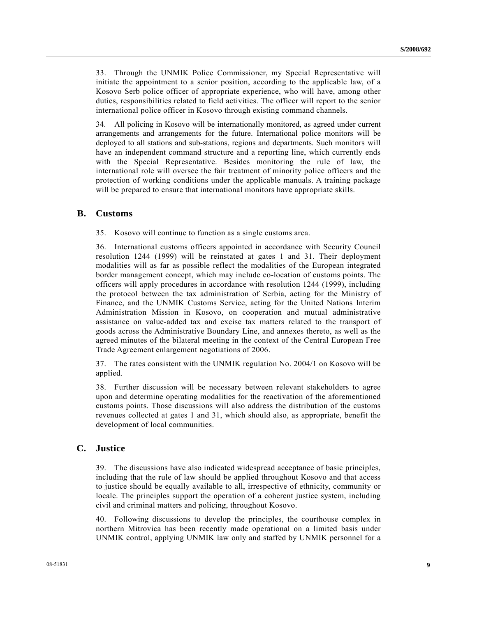33. Through the UNMIK Police Commissioner, my Special Representative will initiate the appointment to a senior position, according to the applicable law, of a Kosovo Serb police officer of appropriate experience, who will have, among other duties, responsibilities related to field activities. The officer will report to the senior international police officer in Kosovo through existing command channels.

34. All policing in Kosovo will be internationally monitored, as agreed under current arrangements and arrangements for the future. International police monitors will be deployed to all stations and sub-stations, regions and departments. Such monitors will have an independent command structure and a reporting line, which currently ends with the Special Representative. Besides monitoring the rule of law, the international role will oversee the fair treatment of minority police officers and the protection of working conditions under the applicable manuals. A training package will be prepared to ensure that international monitors have appropriate skills.

#### **B. Customs**

35. Kosovo will continue to function as a single customs area.

36. International customs officers appointed in accordance with Security Council resolution 1244 (1999) will be reinstated at gates 1 and 31. Their deployment modalities will as far as possible reflect the modalities of the European integrated border management concept, which may include co-location of customs points. The officers will apply procedures in accordance with resolution 1244 (1999), including the protocol between the tax administration of Serbia, acting for the Ministry of Finance, and the UNMIK Customs Service, acting for the United Nations Interim Administration Mission in Kosovo, on cooperation and mutual administrative assistance on value-added tax and excise tax matters related to the transport of goods across the Administrative Boundary Line, and annexes thereto, as well as the agreed minutes of the bilateral meeting in the context of the Central European Free Trade Agreement enlargement negotiations of 2006.

37. The rates consistent with the UNMIK regulation No. 2004/1 on Kosovo will be applied.

38. Further discussion will be necessary between relevant stakeholders to agree upon and determine operating modalities for the reactivation of the aforementioned customs points. Those discussions will also address the distribution of the customs revenues collected at gates 1 and 31, which should also, as appropriate, benefit the development of local communities.

#### **C. Justice**

39. The discussions have also indicated widespread acceptance of basic principles, including that the rule of law should be applied throughout Kosovo and that access to justice should be equally available to all, irrespective of ethnicity, community or locale. The principles support the operation of a coherent justice system, including civil and criminal matters and policing, throughout Kosovo.

40. Following discussions to develop the principles, the courthouse complex in northern Mitrovica has been recently made operational on a limited basis under UNMIK control, applying UNMIK law only and staffed by UNMIK personnel for a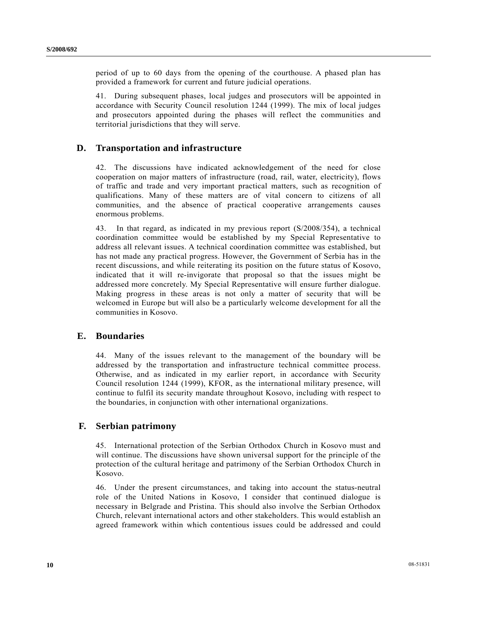period of up to 60 days from the opening of the courthouse. A phased plan has provided a framework for current and future judicial operations.

41. During subsequent phases, local judges and prosecutors will be appointed in accordance with Security Council resolution 1244 (1999). The mix of local judges and prosecutors appointed during the phases will reflect the communities and territorial jurisdictions that they will serve.

#### **D. Transportation and infrastructure**

42. The discussions have indicated acknowledgement of the need for close cooperation on major matters of infrastructure (road, rail, water, electricity), flows of traffic and trade and very important practical matters, such as recognition of qualifications. Many of these matters are of vital concern to citizens of all communities, and the absence of practical cooperative arrangements causes enormous problems.

43. In that regard, as indicated in my previous report (S/2008/354), a technical coordination committee would be established by my Special Representative to address all relevant issues. A technical coordination committee was established, but has not made any practical progress. However, the Government of Serbia has in the recent discussions, and while reiterating its position on the future status of Kosovo, indicated that it will re-invigorate that proposal so that the issues might be addressed more concretely. My Special Representative will ensure further dialogue. Making progress in these areas is not only a matter of security that will be welcomed in Europe but will also be a particularly welcome development for all the communities in Kosovo.

#### **E. Boundaries**

44. Many of the issues relevant to the management of the boundary will be addressed by the transportation and infrastructure technical committee process. Otherwise, and as indicated in my earlier report, in accordance with Security Council resolution 1244 (1999), KFOR, as the international military presence, will continue to fulfil its security mandate throughout Kosovo, including with respect to the boundaries, in conjunction with other international organizations.

#### **F. Serbian patrimony**

45. International protection of the Serbian Orthodox Church in Kosovo must and will continue. The discussions have shown universal support for the principle of the protection of the cultural heritage and patrimony of the Serbian Orthodox Church in Kosovo.

46. Under the present circumstances, and taking into account the status-neutral role of the United Nations in Kosovo, I consider that continued dialogue is necessary in Belgrade and Pristina. This should also involve the Serbian Orthodox Church, relevant international actors and other stakeholders. This would establish an agreed framework within which contentious issues could be addressed and could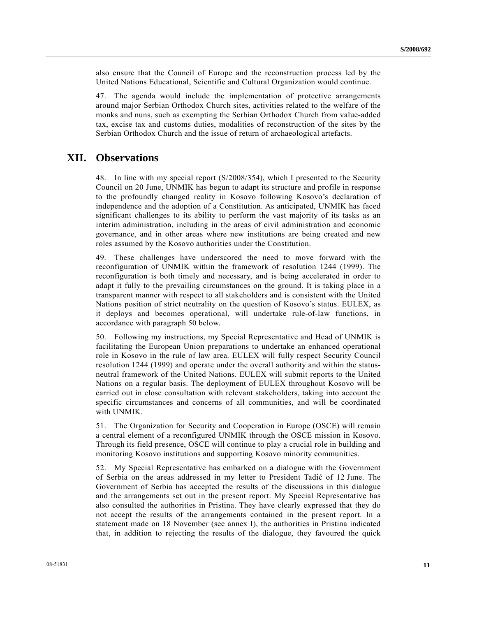also ensure that the Council of Europe and the reconstruction process led by the United Nations Educational, Scientific and Cultural Organization would continue.

47. The agenda would include the implementation of protective arrangements around major Serbian Orthodox Church sites, activities related to the welfare of the monks and nuns, such as exempting the Serbian Orthodox Church from value-added tax, excise tax and customs duties, modalities of reconstruction of the sites by the Serbian Orthodox Church and the issue of return of archaeological artefacts.

### **XII. Observations**

48. In line with my special report (S/2008/354), which I presented to the Security Council on 20 June, UNMIK has begun to adapt its structure and profile in response to the profoundly changed reality in Kosovo following Kosovo's declaration of independence and the adoption of a Constitution. As anticipated, UNMIK has faced significant challenges to its ability to perform the vast majority of its tasks as an interim administration, including in the areas of civil administration and economic governance, and in other areas where new institutions are being created and new roles assumed by the Kosovo authorities under the Constitution.

49. These challenges have underscored the need to move forward with the reconfiguration of UNMIK within the framework of resolution 1244 (1999). The reconfiguration is both timely and necessary, and is being accelerated in order to adapt it fully to the prevailing circumstances on the ground. It is taking place in a transparent manner with respect to all stakeholders and is consistent with the United Nations position of strict neutrality on the question of Kosovo's status. EULEX, as it deploys and becomes operational, will undertake rule-of-law functions, in accordance with paragraph 50 below.

50. Following my instructions, my Special Representative and Head of UNMIK is facilitating the European Union preparations to undertake an enhanced operational role in Kosovo in the rule of law area. EULEX will fully respect Security Council resolution 1244 (1999) and operate under the overall authority and within the statusneutral framework of the United Nations. EULEX will submit reports to the United Nations on a regular basis. The deployment of EULEX throughout Kosovo will be carried out in close consultation with relevant stakeholders, taking into account the specific circumstances and concerns of all communities, and will be coordinated with UNMIK.

51. The Organization for Security and Cooperation in Europe (OSCE) will remain a central element of a reconfigured UNMIK through the OSCE mission in Kosovo. Through its field presence, OSCE will continue to play a crucial role in building and monitoring Kosovo institutions and supporting Kosovo minority communities.

52. My Special Representative has embarked on a dialogue with the Government of Serbia on the areas addressed in my letter to President Tadić of 12 June. The Government of Serbia has accepted the results of the discussions in this dialogue and the arrangements set out in the present report. My Special Representative has also consulted the authorities in Pristina. They have clearly expressed that they do not accept the results of the arrangements contained in the present report. In a statement made on 18 November (see annex I), the authorities in Pristina indicated that, in addition to rejecting the results of the dialogue, they favoured the quick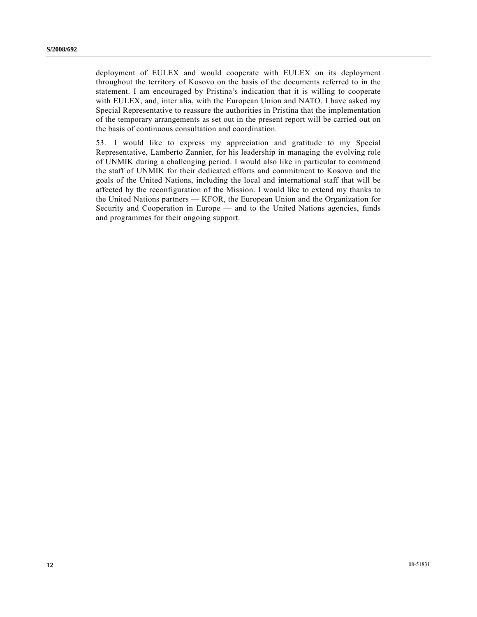deployment of EULEX and would cooperate with EULEX on its deployment throughout the territory of Kosovo on the basis of the documents referred to in the statement. I am encouraged by Pristina's indication that it is willing to cooperate with EULEX, and, inter alia, with the European Union and NATO. I have asked my Special Representative to reassure the authorities in Pristina that the implementation of the temporary arrangements as set out in the present report will be carried out on the basis of continuous consultation and coordination.

53. I would like to express my appreciation and gratitude to my Special Representative, Lamberto Zannier, for his leadership in managing the evolving role of UNMIK during a challenging period. I would also like in particular to commend the staff of UNMIK for their dedicated efforts and commitment to Kosovo and the goals of the United Nations, including the local and international staff that will be affected by the reconfiguration of the Mission. I would like to extend my thanks to the United Nations partners — KFOR, the European Union and the Organization for Security and Cooperation in Europe — and to the United Nations agencies, funds and programmes for their ongoing support.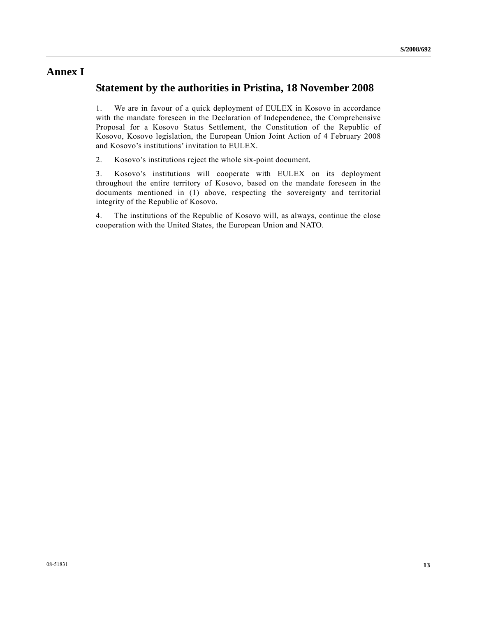## **Annex I**

## **Statement by the authorities in Pristina, 18 November 2008**

1. We are in favour of a quick deployment of EULEX in Kosovo in accordance with the mandate foreseen in the Declaration of Independence, the Comprehensive Proposal for a Kosovo Status Settlement, the Constitution of the Republic of Kosovo, Kosovo legislation, the European Union Joint Action of 4 February 2008 and Kosovo's institutions' invitation to EULEX.

2. Kosovo's institutions reject the whole six-point document.

3. Kosovo's institutions will cooperate with EULEX on its deployment throughout the entire territory of Kosovo, based on the mandate foreseen in the documents mentioned in (1) above, respecting the sovereignty and territorial integrity of the Republic of Kosovo.

4. The institutions of the Republic of Kosovo will, as always, continue the close cooperation with the United States, the European Union and NATO.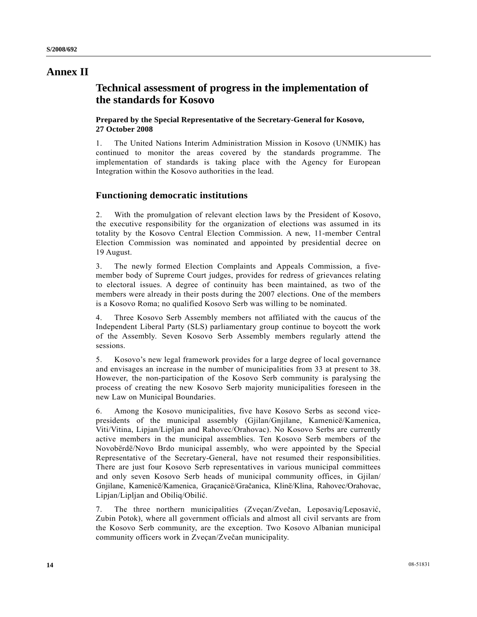## **Annex II**

## **Technical assessment of progress in the implementation of the standards for Kosovo**

#### **Prepared by the Special Representative of the Secretary-General for Kosovo, 27 October 2008**

1. The United Nations Interim Administration Mission in Kosovo (UNMIK) has continued to monitor the areas covered by the standards programme. The implementation of standards is taking place with the Agency for European Integration within the Kosovo authorities in the lead.

### **Functioning democratic institutions**

2. With the promulgation of relevant election laws by the President of Kosovo, the executive responsibility for the organization of elections was assumed in its totality by the Kosovo Central Election Commission. A new, 11-member Central Election Commission was nominated and appointed by presidential decree on 19 August.

3. The newly formed Election Complaints and Appeals Commission, a fivemember body of Supreme Court judges, provides for redress of grievances relating to electoral issues. A degree of continuity has been maintained, as two of the members were already in their posts during the 2007 elections. One of the members is a Kosovo Roma; no qualified Kosovo Serb was willing to be nominated.

4. Three Kosovo Serb Assembly members not affiliated with the caucus of the Independent Liberal Party (SLS) parliamentary group continue to boycott the work of the Assembly. Seven Kosovo Serb Assembly members regularly attend the sessions.

5. Kosovo's new legal framework provides for a large degree of local governance and envisages an increase in the number of municipalities from 33 at present to 38. However, the non-participation of the Kosovo Serb community is paralysing the process of creating the new Kosovo Serb majority municipalities foreseen in the new Law on Municipal Boundaries.

6. Among the Kosovo municipalities, five have Kosovo Serbs as second vicepresidents of the municipal assembly (Gjilan/Gnjilane, Kamenicë/Kamenica, Viti/Vitina, Lipjan/Lipljan and Rahovec/Orahovac). No Kosovo Serbs are currently active members in the municipal assemblies. Ten Kosovo Serb members of the Novobërdë/Novo Brdo municipal assembly, who were appointed by the Special Representative of the Secretary-General, have not resumed their responsibilities. There are just four Kosovo Serb representatives in various municipal committees and only seven Kosovo Serb heads of municipal community offices, in Gjilan/ Gnjilane, Kamenicë/Kamenica, Graçanicë/Gračanica, Klinë/Klina, Rahovec/Orahovac, Lipjan/Lipljan and Obiliq/Obilić.

7. The three northern municipalities (Zveçan/Zvečan, Leposaviq/Leposavić, Zubin Potok), where all government officials and almost all civil servants are from the Kosovo Serb community, are the exception. Two Kosovo Albanian municipal community officers work in Zveçan/Zvečan municipality.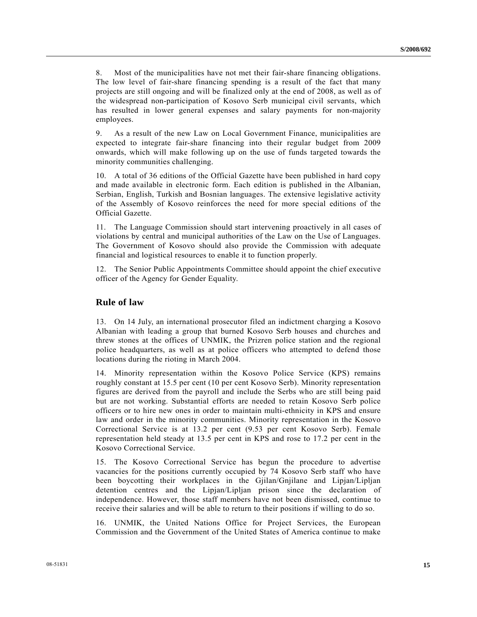8. Most of the municipalities have not met their fair-share financing obligations. The low level of fair-share financing spending is a result of the fact that many projects are still ongoing and will be finalized only at the end of 2008, as well as of the widespread non-participation of Kosovo Serb municipal civil servants, which has resulted in lower general expenses and salary payments for non-majority employees.

9. As a result of the new Law on Local Government Finance, municipalities are expected to integrate fair-share financing into their regular budget from 2009 onwards, which will make following up on the use of funds targeted towards the minority communities challenging.

10. A total of 36 editions of the Official Gazette have been published in hard copy and made available in electronic form. Each edition is published in the Albanian, Serbian, English, Turkish and Bosnian languages. The extensive legislative activity of the Assembly of Kosovo reinforces the need for more special editions of the Official Gazette.

11. The Language Commission should start intervening proactively in all cases of violations by central and municipal authorities of the Law on the Use of Languages. The Government of Kosovo should also provide the Commission with adequate financial and logistical resources to enable it to function properly.

12. The Senior Public Appointments Committee should appoint the chief executive officer of the Agency for Gender Equality.

#### **Rule of law**

13. On 14 July, an international prosecutor filed an indictment charging a Kosovo Albanian with leading a group that burned Kosovo Serb houses and churches and threw stones at the offices of UNMIK, the Prizren police station and the regional police headquarters, as well as at police officers who attempted to defend those locations during the rioting in March 2004.

14. Minority representation within the Kosovo Police Service (KPS) remains roughly constant at 15.5 per cent (10 per cent Kosovo Serb). Minority representation figures are derived from the payroll and include the Serbs who are still being paid but are not working. Substantial efforts are needed to retain Kosovo Serb police officers or to hire new ones in order to maintain multi-ethnicity in KPS and ensure law and order in the minority communities. Minority representation in the Kosovo Correctional Service is at 13.2 per cent (9.53 per cent Kosovo Serb). Female representation held steady at 13.5 per cent in KPS and rose to 17.2 per cent in the Kosovo Correctional Service.

15. The Kosovo Correctional Service has begun the procedure to advertise vacancies for the positions currently occupied by 74 Kosovo Serb staff who have been boycotting their workplaces in the Gjilan/Gnjilane and Lipjan/Lipljan detention centres and the Lipjan/Lipljan prison since the declaration of independence. However, those staff members have not been dismissed, continue to receive their salaries and will be able to return to their positions if willing to do so.

16. UNMIK, the United Nations Office for Project Services, the European Commission and the Government of the United States of America continue to make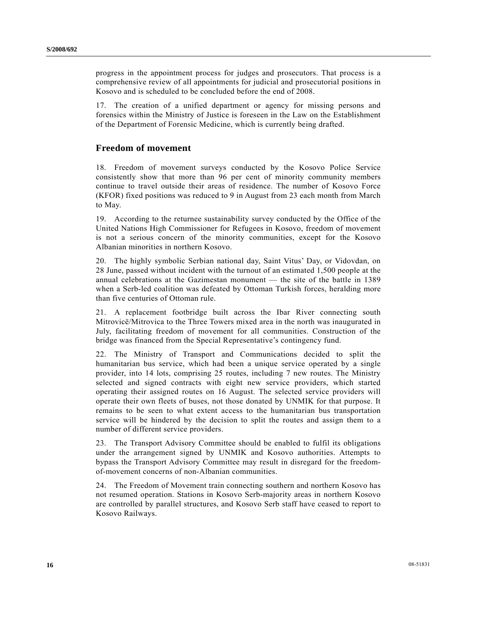progress in the appointment process for judges and prosecutors. That process is a comprehensive review of all appointments for judicial and prosecutorial positions in Kosovo and is scheduled to be concluded before the end of 2008.

17. The creation of a unified department or agency for missing persons and forensics within the Ministry of Justice is foreseen in the Law on the Establishment of the Department of Forensic Medicine, which is currently being drafted.

#### **Freedom of movement**

18. Freedom of movement surveys conducted by the Kosovo Police Service consistently show that more than 96 per cent of minority community members continue to travel outside their areas of residence. The number of Kosovo Force (KFOR) fixed positions was reduced to 9 in August from 23 each month from March to May.

19. According to the returnee sustainability survey conducted by the Office of the United Nations High Commissioner for Refugees in Kosovo, freedom of movement is not a serious concern of the minority communities, except for the Kosovo Albanian minorities in northern Kosovo.

20. The highly symbolic Serbian national day, Saint Vitus' Day, or Vidovdan, on 28 June, passed without incident with the turnout of an estimated 1,500 people at the annual celebrations at the Gazimestan monument — the site of the battle in 1389 when a Serb-led coalition was defeated by Ottoman Turkish forces, heralding more than five centuries of Ottoman rule.

21. A replacement footbridge built across the Ibar River connecting south Mitrovicë/Mitrovica to the Three Towers mixed area in the north was inaugurated in July, facilitating freedom of movement for all communities. Construction of the bridge was financed from the Special Representative's contingency fund.

22. The Ministry of Transport and Communications decided to split the humanitarian bus service, which had been a unique service operated by a single provider, into 14 lots, comprising 25 routes, including 7 new routes. The Ministry selected and signed contracts with eight new service providers, which started operating their assigned routes on 16 August. The selected service providers will operate their own fleets of buses, not those donated by UNMIK for that purpose. It remains to be seen to what extent access to the humanitarian bus transportation service will be hindered by the decision to split the routes and assign them to a number of different service providers.

23. The Transport Advisory Committee should be enabled to fulfil its obligations under the arrangement signed by UNMIK and Kosovo authorities. Attempts to bypass the Transport Advisory Committee may result in disregard for the freedomof-movement concerns of non-Albanian communities.

24. The Freedom of Movement train connecting southern and northern Kosovo has not resumed operation. Stations in Kosovo Serb-majority areas in northern Kosovo are controlled by parallel structures, and Kosovo Serb staff have ceased to report to Kosovo Railways.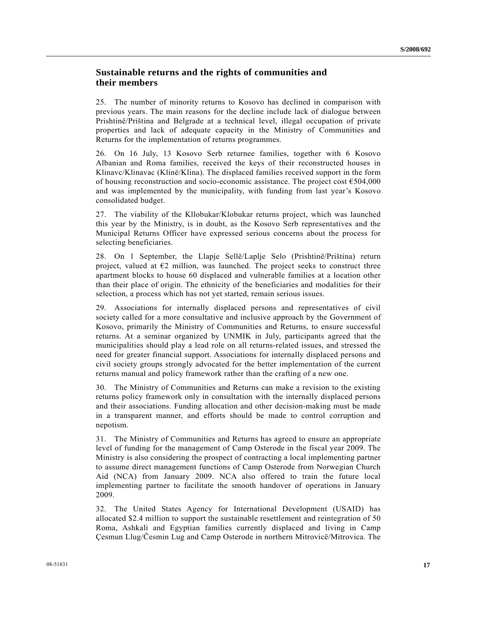### **Sustainable returns and the rights of communities and their members**

25. The number of minority returns to Kosovo has declined in comparison with previous years. The main reasons for the decline include lack of dialogue between Prishtinë/Priština and Belgrade at a technical level, illegal occupation of private properties and lack of adequate capacity in the Ministry of Communities and Returns for the implementation of returns programmes.

26. On 16 July, 13 Kosovo Serb returnee families, together with 6 Kosovo Albanian and Roma families, received the keys of their reconstructed houses in Klinavc/Klinavac (Klinë/Klina). The displaced families received support in the form of housing reconstruction and socio-economic assistance. The project cost  $\epsilon$ 504,000 and was implemented by the municipality, with funding from last year's Kosovo consolidated budget.

27. The viability of the Kllobukar/Klobukar returns project, which was launched this year by the Ministry, is in doubt, as the Kosovo Serb representatives and the Municipal Returns Officer have expressed serious concerns about the process for selecting beneficiaries.

28. On 1 September, the Llapje Sellë/Laplje Selo (Prishtinë/Priština) return project, valued at  $E2$  million, was launched. The project seeks to construct three apartment blocks to house 60 displaced and vulnerable families at a location other than their place of origin. The ethnicity of the beneficiaries and modalities for their selection, a process which has not yet started, remain serious issues.

29. Associations for internally displaced persons and representatives of civil society called for a more consultative and inclusive approach by the Government of Kosovo, primarily the Ministry of Communities and Returns, to ensure successful returns. At a seminar organized by UNMIK in July, participants agreed that the municipalities should play a lead role on all returns-related issues, and stressed the need for greater financial support. Associations for internally displaced persons and civil society groups strongly advocated for the better implementation of the current returns manual and policy framework rather than the crafting of a new one.

30. The Ministry of Communities and Returns can make a revision to the existing returns policy framework only in consultation with the internally displaced persons and their associations. Funding allocation and other decision-making must be made in a transparent manner, and efforts should be made to control corruption and nepotism.

31. The Ministry of Communities and Returns has agreed to ensure an appropriate level of funding for the management of Camp Osterode in the fiscal year 2009. The Ministry is also considering the prospect of contracting a local implementing partner to assume direct management functions of Camp Osterode from Norwegian Church Aid (NCA) from January 2009. NCA also offered to train the future local implementing partner to facilitate the smooth handover of operations in January 2009.

32. The United States Agency for International Development (USAID) has allocated \$2.4 million to support the sustainable resettlement and reintegration of 50 Roma, Ashkali and Egyptian families currently displaced and living in Camp Çesmun Llug/Česmin Lug and Camp Osterode in northern Mitrovicë/Mitrovica. The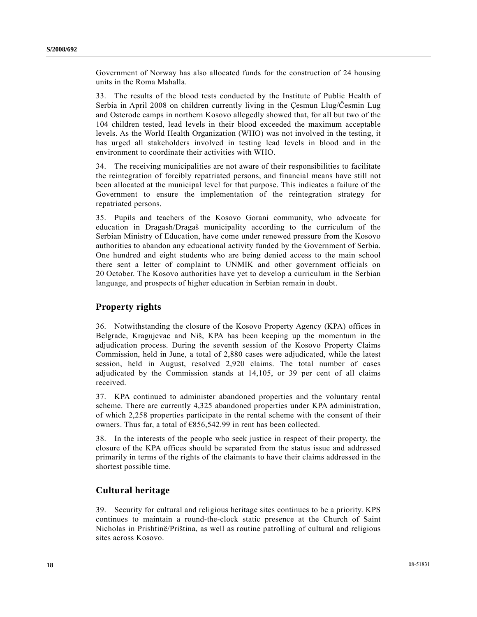Government of Norway has also allocated funds for the construction of 24 housing units in the Roma Mahalla.

33. The results of the blood tests conducted by the Institute of Public Health of Serbia in April 2008 on children currently living in the Çesmun Llug/Česmin Lug and Osterode camps in northern Kosovo allegedly showed that, for all but two of the 104 children tested, lead levels in their blood exceeded the maximum acceptable levels. As the World Health Organization (WHO) was not involved in the testing, it has urged all stakeholders involved in testing lead levels in blood and in the environment to coordinate their activities with WHO.

34. The receiving municipalities are not aware of their responsibilities to facilitate the reintegration of forcibly repatriated persons, and financial means have still not been allocated at the municipal level for that purpose. This indicates a failure of the Government to ensure the implementation of the reintegration strategy for repatriated persons.

35. Pupils and teachers of the Kosovo Gorani community, who advocate for education in Dragash/Dragaš municipality according to the curriculum of the Serbian Ministry of Education, have come under renewed pressure from the Kosovo authorities to abandon any educational activity funded by the Government of Serbia. One hundred and eight students who are being denied access to the main school there sent a letter of complaint to UNMIK and other government officials on 20 October. The Kosovo authorities have yet to develop a curriculum in the Serbian language, and prospects of higher education in Serbian remain in doubt.

#### **Property rights**

36. Notwithstanding the closure of the Kosovo Property Agency (KPA) offices in Belgrade, Kragujevac and Niš, KPA has been keeping up the momentum in the adjudication process. During the seventh session of the Kosovo Property Claims Commission, held in June, a total of 2,880 cases were adjudicated, while the latest session, held in August, resolved 2,920 claims. The total number of cases adjudicated by the Commission stands at 14,105, or 39 per cent of all claims received.

37. KPA continued to administer abandoned properties and the voluntary rental scheme. There are currently 4,325 abandoned properties under KPA administration, of which 2,258 properties participate in the rental scheme with the consent of their owners. Thus far, a total of €856,542.99 in rent has been collected.

38. In the interests of the people who seek justice in respect of their property, the closure of the KPA offices should be separated from the status issue and addressed primarily in terms of the rights of the claimants to have their claims addressed in the shortest possible time.

#### **Cultural heritage**

39. Security for cultural and religious heritage sites continues to be a priority. KPS continues to maintain a round-the-clock static presence at the Church of Saint Nicholas in Prishtinë/Priština, as well as routine patrolling of cultural and religious sites across Kosovo.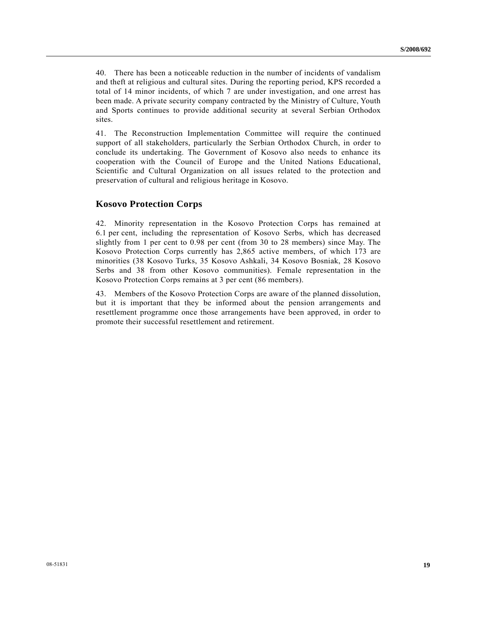40. There has been a noticeable reduction in the number of incidents of vandalism and theft at religious and cultural sites. During the reporting period, KPS recorded a total of 14 minor incidents, of which 7 are under investigation, and one arrest has been made. A private security company contracted by the Ministry of Culture, Youth and Sports continues to provide additional security at several Serbian Orthodox sites.

41. The Reconstruction Implementation Committee will require the continued support of all stakeholders, particularly the Serbian Orthodox Church, in order to conclude its undertaking. The Government of Kosovo also needs to enhance its cooperation with the Council of Europe and the United Nations Educational, Scientific and Cultural Organization on all issues related to the protection and preservation of cultural and religious heritage in Kosovo.

#### **Kosovo Protection Corps**

42. Minority representation in the Kosovo Protection Corps has remained at 6.1 per cent, including the representation of Kosovo Serbs, which has decreased slightly from 1 per cent to 0.98 per cent (from 30 to 28 members) since May. The Kosovo Protection Corps currently has 2,865 active members, of which 173 are minorities (38 Kosovo Turks, 35 Kosovo Ashkali, 34 Kosovo Bosniak, 28 Kosovo Serbs and 38 from other Kosovo communities). Female representation in the Kosovo Protection Corps remains at 3 per cent (86 members).

43. Members of the Kosovo Protection Corps are aware of the planned dissolution, but it is important that they be informed about the pension arrangements and resettlement programme once those arrangements have been approved, in order to promote their successful resettlement and retirement.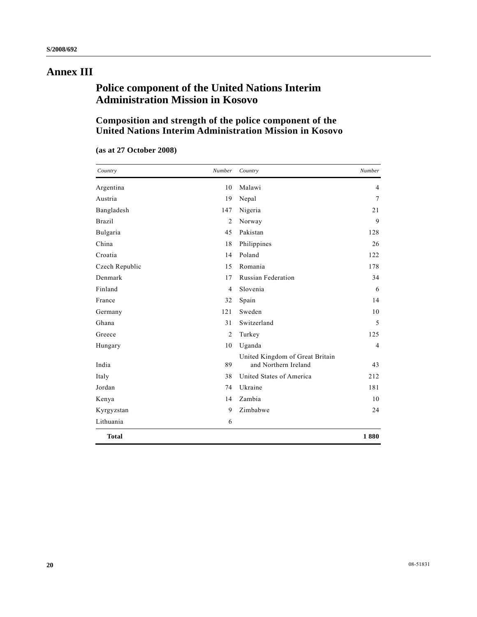# **Annex III**

## **Police component of the United Nations Interim Administration Mission in Kosovo**

### **Composition and strength of the police component of the United Nations Interim Administration Mission in Kosovo**

| Country        | Number         | Country                                                 | Number         |
|----------------|----------------|---------------------------------------------------------|----------------|
| Argentina      | 10             | Malawi                                                  | 4              |
| Austria        | 19             | Nepal                                                   | 7              |
| Bangladesh     | 147            | Nigeria                                                 | 21             |
| <b>Brazil</b>  | 2              | Norway                                                  | 9              |
| Bulgaria       | 45             | Pakistan                                                | 128            |
| China          | 18             | Philippines                                             | 26             |
| Croatia        | 14             | Poland                                                  | 122            |
| Czech Republic | 15             | Romania                                                 | 178            |
| Denmark        | 17             | <b>Russian Federation</b>                               | 34             |
| Finland        | $\overline{4}$ | Slovenia                                                | 6              |
| France         | 32             | Spain                                                   | 14             |
| Germany        | 121            | Sweden                                                  | 10             |
| Ghana          | 31             | Switzerland                                             | 5              |
| Greece         | 2              | Turkey                                                  | 125            |
| Hungary        | 10             | Uganda                                                  | $\overline{4}$ |
| India          | 89             | United Kingdom of Great Britain<br>and Northern Ireland | 43             |
| Italy          | 38             | United States of America                                | 212            |
| Jordan         | 74             | Ukraine                                                 | 181            |
| Kenya          | 14             | Zambia                                                  | 10             |
| Kyrgyzstan     | 9              | Zimbabwe                                                | 24             |
| Lithuania      | 6              |                                                         |                |
| <b>Total</b>   |                |                                                         | 1880           |

|  | (as at 27 October 2008) |  |
|--|-------------------------|--|
|--|-------------------------|--|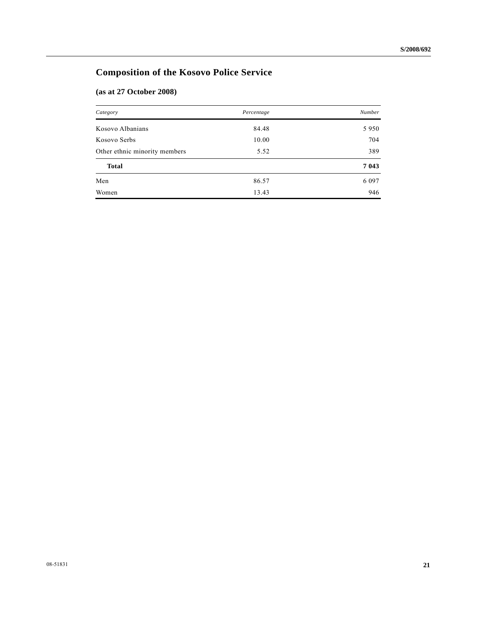## **Composition of the Kosovo Police Service**

### **(as at 27 October 2008)**

| Category                      | Percentage | <b>Number</b> |
|-------------------------------|------------|---------------|
| Kosovo Albanians              | 84.48      | 5950          |
| Kosovo Serbs                  | 10.00      | 704           |
| Other ethnic minority members | 5.52       | 389           |
| <b>Total</b>                  |            | 7 0 4 3       |
| Men                           | 86.57      | 6 0 9 7       |
| Women                         | 13.43      | 946           |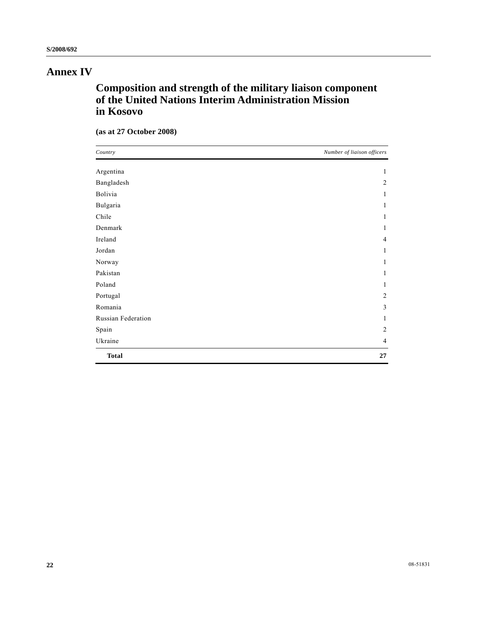# **Annex IV**

# **Composition and strength of the military liaison component of the United Nations Interim Administration Mission in Kosovo**

|  | (as at 27 October 2008) |  |
|--|-------------------------|--|
|--|-------------------------|--|

| Country            | Number of liaison officers |
|--------------------|----------------------------|
| Argentina          | 1                          |
| Bangladesh         | $\overline{2}$             |
| Bolivia            | 1                          |
| Bulgaria           | 1                          |
| Chile              | 1                          |
| Denmark            | 1                          |
| Ireland            | 4                          |
| Jordan             | 1                          |
| Norway             | 1                          |
| Pakistan           | 1                          |
| Poland             | 1                          |
| Portugal           | $\overline{2}$             |
| Romania            | 3                          |
| Russian Federation | 1                          |
| Spain              | $\overline{2}$             |
| Ukraine            | $\overline{4}$             |
| <b>Total</b>       | 27                         |